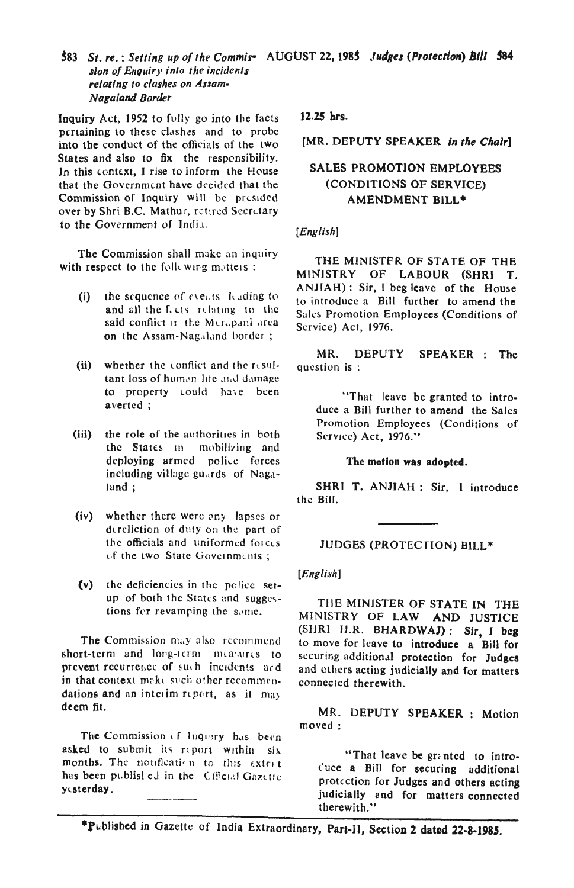Inquiry Act, 1952 to fully go into the facts pertaining to these clashes and to probe into the conduct of the officials of the two States and also to fix the responsibility. In this context, I rise to inform the House that the Government have decided that the Commission of Inquiry will be presided over by Shri B.C. Mathur, retired Secretary to the Government of India.

The Commission shall make an inquiry with respect to the following matters:

- the sequence of events leading to  $(i)$ and all the feets relating to the said conflict it the Merapani area on the Assam-Nagaland border;
- (ii) whether the conflict and the resultant loss of human life and damage to property could have been averted;
- $(iii)$ the role of the authorities in both the States in mobilizing and deploying armed police forces including village guards of Nagaland :
- $(iv)$ whether there were any lapses or dereliction of duty on the part of the officials and uniformed forces of the two State Governments;
- the deficiencies in the police set- $(v)$ up of both the States and suggestions for revamping the same.

The Commission may also recommend short-term and long-term measures to prevent recurrence of such incidents and in that context make such other recommendations and an interim report, as it may deem fit.

The Commission of Inquiry has been asked to submit its report within six months. The notification to this extert has been publist ed in the Cfficial Gazette yesterday.

12.25 hrs.

[MR. DEPUTY SPEAKER in the Chair]

# **SALES PROMOTION EMPLOYEES** (CONDITIONS OF SERVICE) **AMENDMENT BILL\***

## $[English]$

THE MINISTER OF STATE OF THE MINISTRY OF LABOUR (SHRI T. ANJIAH): Sir, I beg leave of the House to introduce a Bill further to amend the Sales Promotion Employees (Conditions of Scrvice) Act, 1976.

MR. DEPUTY SPEAKER : The question is:

"That leave be granted to introduce a Bill further to amend the Sales Promotion Employees (Conditions of Service) Act, 1976."

#### The motion was adopted.

SHRI T. ANJIAH : Sir, 1 introduce the Bill.

## JUDGES (PROTECTION) BILL\*

 $[English]$ 

THE MINISTER OF STATE IN THE MINISTRY OF LAW AND JUSTICE (SHRI H.R. BHARDWAJ): Sir, I beg to move for leave to introduce a Bill for securing additional protection for Judges and others acting judicially and for matters connected therewith.

MR. DEPUTY SPEAKER : Motion moved:

"That leave be granted to introcuce a Bill for securing additional protection for Judges and others acting judicially and for matters connected therewith."

\*Published in Gazette of India Extraordinary, Part-II, Section 2 dated 22-8-1985.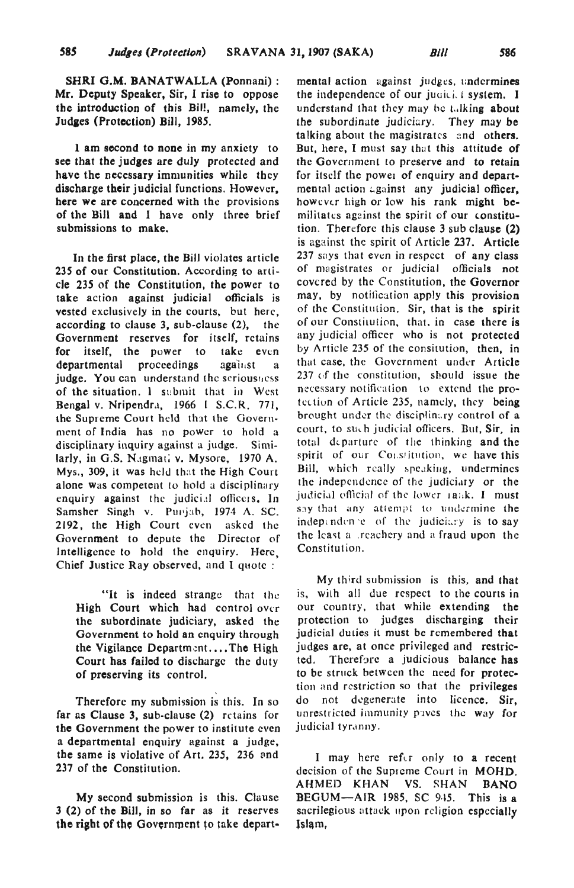SHRI G.M. BANATWALLA (Ponnani) : Mr. Deputy Speaker, Sir, I rise to oppose the introduction of this Bill, namely, the Judaes (Protection) Bill, 1985.

1 am second to none in my anxiety to see that the judges are duly protected and have the necessary immunities while they discharge their judicial functions. However, here we are concerned with the provisions of the BiJl and I have only three brief submissions to make.

In the first place, the Bill violates article 235 of our Constitution. According to article 235 of the Constitution, the power to take action against judicial officials is vested exclusively in the courts, but here, according to clause 3, sub-clause (2), the Government reserves for itself, retains for itself, the power to take even departmental proceedings against a judge. You can understand the seriousness of the situation. I submit that in West Bengal v. Nripendra, 1966 I S.C.R. 771, the Supreme Court held that the Government of India has no power to hold a disciplinary inquiry against a judge. Similarly, in G.S. Nagmati v. Mysore, 1970 A. Mys., 309, it was held that the High Court alone was competent to hold a disciplinary enquiry against the judicial officers. In Samsher Singh v. Punjab, 1974 A. SC. 2192, the High Court even asked the Government to depute the Director of Intelligence to hold the enquiry. Here, Chief Justice Ray observed, and I quote:

"It is indeed strange that the High Court which had control over the subordinate judiciary, asked the Government to hold an enquiry through the Vigilance Department....The High Court has failed to discharge the duty of preserving its control.

Therefore my submission is this. In so far as Clause 3, sub-clause (2) retains for the Government the power to institute even a departmental enquiry against a judge, the same is violative of Art. 235, 236 and 237 of the Constitution.

My second submission is this. Clause 3 (2) of the Bill, in so far as it reserves the right of the Government to take departmental action against judges, undermines the independence of our judici, I system. I understand that they may be talking about the subordinate judiciary. They may be the subordinate judiciary. talking about the magistrates and others. But, here, I must say that this attitude of the Government to preserve and to retain for itself the power of enquiry and depart $m$ ental action  $u$ gainst any judicial officer, however high or low his rank might bemilitates against the spirit of our constitution. Therefore this c1ause 3 sub clause (2) is against the spirit of Article 237. Article 237 says that even in respect of any class of magistrates or judicial officials not covered by the Constitution, the Governor may, by notification apply this provision of the Constitution. Sir, that is the spirit of our Constitution, that, in case there is any judicial officer who is not protected by Article 235 of the consitution, then, in that case, the Government under Article 237 of the constitution, should issue the necessary notification to extend the protection of Article 235, namely, they being brought under the disciplinary control of a court, to such judicial officers. But, Sir, in total departure of the thinking and the spirit of our Constitution, we have this Bill, which really speaking, undermines the independence of the judiciary or the judicial efficial of the lower  $\text{rank}$ . I must say that any attempt to undermine the independence of the judiciary is to say the least a .reachery and a fraud upon the Constitution.

My third submission is this, and that is. wilh all due respect to the courts in our country, that while extending the protection to judges discharging their judicial duties it must be remembered that judges are, at once privileged and restric-Therefore a judicious balance has to be struck between the need for protection and restriction so that the privileges do not degenerate into licence. Sir, unrestricted immunity payes the way for judicial tyranny.

I may here refor only to a recent decision of the Supreme Court in MOHD. AHMED KHAN VS. SHAN BANO BEGUM-AIR 1985, SC 945. This is a sacrilegious attack upon religion especially Islam,